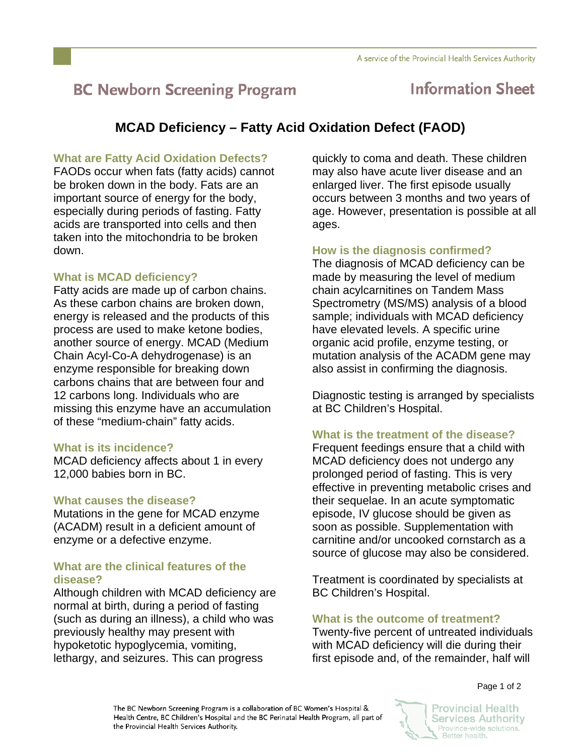# **BC Newborn Screening Program**

## **Information Sheet**

### **MCAD Deficiency – Fatty Acid Oxidation Defect (FAOD)**

#### **What are Fatty Acid Oxidation Defects?**

FAODs occur when fats (fatty acids) cannot be broken down in the body. Fats are an important source of energy for the body, especially during periods of fasting. Fatty acids are transported into cells and then taken into the mitochondria to be broken down.

#### **What is MCAD deficiency?**

Fatty acids are made up of carbon chains. As these carbon chains are broken down, energy is released and the products of this process are used to make ketone bodies, another source of energy. MCAD (Medium Chain Acyl-Co-A dehydrogenase) is an enzyme responsible for breaking down carbons chains that are between four and 12 carbons long. Individuals who are missing this enzyme have an accumulation of these "medium-chain" fatty acids.

#### **What is its incidence?**

MCAD deficiency affects about 1 in every 12,000 babies born in BC.

#### **What causes the disease?**

Mutations in the gene for MCAD enzyme (ACADM) result in a deficient amount of enzyme or a defective enzyme.

#### **What are the clinical features of the disease?**

Although children with MCAD deficiency are normal at birth, during a period of fasting (such as during an illness), a child who was previously healthy may present with hypoketotic hypoglycemia, vomiting, lethargy, and seizures. This can progress

quickly to coma and death. These children may also have acute liver disease and an enlarged liver. The first episode usually occurs between 3 months and two years of age. However, presentation is possible at all ages.

#### **How is the diagnosis confirmed?**

The diagnosis of MCAD deficiency can be made by measuring the level of medium chain acylcarnitines on Tandem Mass Spectrometry (MS/MS) analysis of a blood sample; individuals with MCAD deficiency have elevated levels. A specific urine organic acid profile, enzyme testing, or mutation analysis of the ACADM gene may also assist in confirming the diagnosis.

Diagnostic testing is arranged by specialists at BC Children's Hospital.

#### **What is the treatment of the disease?**

Frequent feedings ensure that a child with MCAD deficiency does not undergo any prolonged period of fasting. This is very effective in preventing metabolic crises and their sequelae. In an acute symptomatic episode, IV glucose should be given as soon as possible. Supplementation with carnitine and/or uncooked cornstarch as a source of glucose may also be considered.

Treatment is coordinated by specialists at BC Children's Hospital.

#### **What is the outcome of treatment?**

Twenty-five percent of untreated individuals with MCAD deficiency will die during their first episode and, of the remainder, half will

Page 1 of 2